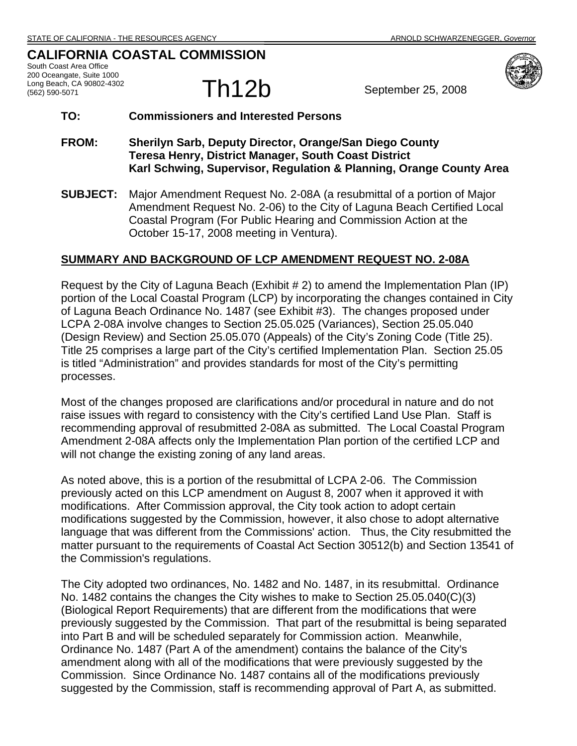## **CALIFORNIA COASTAL COMMISSION**

South Coast Area Office 200 Oceangate, Suite 1000 Long Beach, CA 90802-4302



### **TO: Commissioners and Interested Persons**

- **FROM: Sherilyn Sarb, Deputy Director, Orange/San Diego County Teresa Henry, District Manager, South Coast District Karl Schwing, Supervisor, Regulation & Planning, Orange County Area**
- **SUBJECT:** Major Amendment Request No. 2-08A (a resubmittal of a portion of Major Amendment Request No. 2-06) to the City of Laguna Beach Certified Local Coastal Program (For Public Hearing and Commission Action at the October 15-17, 2008 meeting in Ventura).

### **SUMMARY AND BACKGROUND OF LCP AMENDMENT REQUEST NO. 2-08A**

Request by the City of Laguna Beach (Exhibit # 2) to amend the Implementation Plan (IP) portion of the Local Coastal Program (LCP) by incorporating the changes contained in City of Laguna Beach Ordinance No. 1487 (see Exhibit #3). The changes proposed under LCPA 2-08A involve changes to Section 25.05.025 (Variances), Section 25.05.040 (Design Review) and Section 25.05.070 (Appeals) of the City's Zoning Code (Title 25). Title 25 comprises a large part of the City's certified Implementation Plan. Section 25.05 is titled "Administration" and provides standards for most of the City's permitting processes.

Most of the changes proposed are clarifications and/or procedural in nature and do not raise issues with regard to consistency with the City's certified Land Use Plan. Staff is recommending approval of resubmitted 2-08A as submitted. The Local Coastal Program Amendment 2-08A affects only the Implementation Plan portion of the certified LCP and will not change the existing zoning of any land areas.

As noted above, this is a portion of the resubmittal of LCPA 2-06. The Commission previously acted on this LCP amendment on August 8, 2007 when it approved it with modifications. After Commission approval, the City took action to adopt certain modifications suggested by the Commission, however, it also chose to adopt alternative language that was different from the Commissions' action. Thus, the City resubmitted the matter pursuant to the requirements of Coastal Act Section 30512(b) and Section 13541 of the Commission's regulations.

The City adopted two ordinances, No. 1482 and No. 1487, in its resubmittal. Ordinance No. 1482 contains the changes the City wishes to make to Section 25.05.040(C)(3) (Biological Report Requirements) that are different from the modifications that were previously suggested by the Commission. That part of the resubmittal is being separated into Part B and will be scheduled separately for Commission action. Meanwhile, Ordinance No. 1487 (Part A of the amendment) contains the balance of the City's amendment along with all of the modifications that were previously suggested by the Commission. Since Ordinance No. 1487 contains all of the modifications previously suggested by the Commission, staff is recommending approval of Part A, as submitted.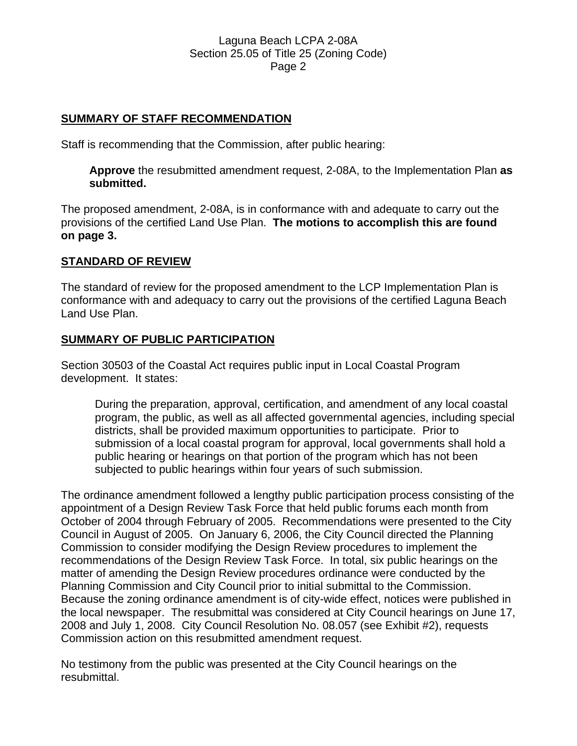### **SUMMARY OF STAFF RECOMMENDATION**

Staff is recommending that the Commission, after public hearing:

**Approve** the resubmitted amendment request, 2-08A, to the Implementation Plan **as submitted.** 

The proposed amendment, 2-08A, is in conformance with and adequate to carry out the provisions of the certified Land Use Plan. **The motions to accomplish this are found on page 3.**

### **STANDARD OF REVIEW**

The standard of review for the proposed amendment to the LCP Implementation Plan is conformance with and adequacy to carry out the provisions of the certified Laguna Beach Land Use Plan.

#### **SUMMARY OF PUBLIC PARTICIPATION**

Section 30503 of the Coastal Act requires public input in Local Coastal Program development. It states:

During the preparation, approval, certification, and amendment of any local coastal program, the public, as well as all affected governmental agencies, including special districts, shall be provided maximum opportunities to participate. Prior to submission of a local coastal program for approval, local governments shall hold a public hearing or hearings on that portion of the program which has not been subjected to public hearings within four years of such submission.

The ordinance amendment followed a lengthy public participation process consisting of the appointment of a Design Review Task Force that held public forums each month from October of 2004 through February of 2005. Recommendations were presented to the City Council in August of 2005. On January 6, 2006, the City Council directed the Planning Commission to consider modifying the Design Review procedures to implement the recommendations of the Design Review Task Force. In total, six public hearings on the matter of amending the Design Review procedures ordinance were conducted by the Planning Commission and City Council prior to initial submittal to the Commission. Because the zoning ordinance amendment is of city-wide effect, notices were published in the local newspaper. The resubmittal was considered at City Council hearings on June 17, 2008 and July 1, 2008. City Council Resolution No. 08.057 (see Exhibit #2), requests Commission action on this resubmitted amendment request.

No testimony from the public was presented at the City Council hearings on the resubmittal.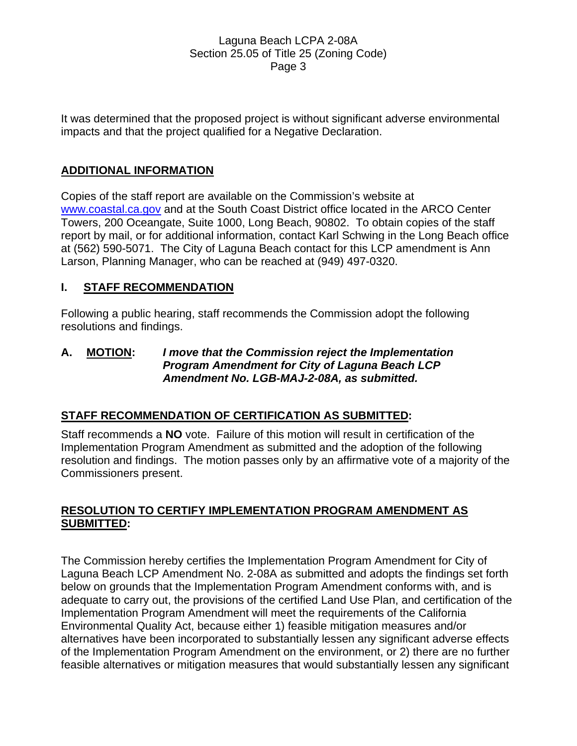It was determined that the proposed project is without significant adverse environmental impacts and that the project qualified for a Negative Declaration.

## **ADDITIONAL INFORMATION**

Copies of the staff report are available on the Commission's website at www.coastal.ca.gov and at the South Coast District office located in the ARCO Center Towers, 200 Oceangate, Suite 1000, Long Beach, 90802. To obtain copies of the staff report by mail, or for additional information, contact Karl Schwing in the Long Beach office at (562) 590-5071. The City of Laguna Beach contact for this LCP amendment is Ann Larson, Planning Manager, who can be reached at (949) 497-0320.

## **I. STAFF RECOMMENDATION**

Following a public hearing, staff recommends the Commission adopt the following resolutions and findings.

### **A. MOTION:** *I move that the Commission reject the Implementation Program Amendment for City of Laguna Beach LCP Amendment No. LGB-MAJ-2-08A, as submitted.*

## **STAFF RECOMMENDATION OF CERTIFICATION AS SUBMITTED:**

Staff recommends a **NO** vote. Failure of this motion will result in certification of the Implementation Program Amendment as submitted and the adoption of the following resolution and findings. The motion passes only by an affirmative vote of a majority of the Commissioners present.

## **RESOLUTION TO CERTIFY IMPLEMENTATION PROGRAM AMENDMENT AS SUBMITTED:**

The Commission hereby certifies the Implementation Program Amendment for City of Laguna Beach LCP Amendment No. 2-08A as submitted and adopts the findings set forth below on grounds that the Implementation Program Amendment conforms with, and is adequate to carry out, the provisions of the certified Land Use Plan, and certification of the Implementation Program Amendment will meet the requirements of the California Environmental Quality Act, because either 1) feasible mitigation measures and/or alternatives have been incorporated to substantially lessen any significant adverse effects of the Implementation Program Amendment on the environment, or 2) there are no further feasible alternatives or mitigation measures that would substantially lessen any significant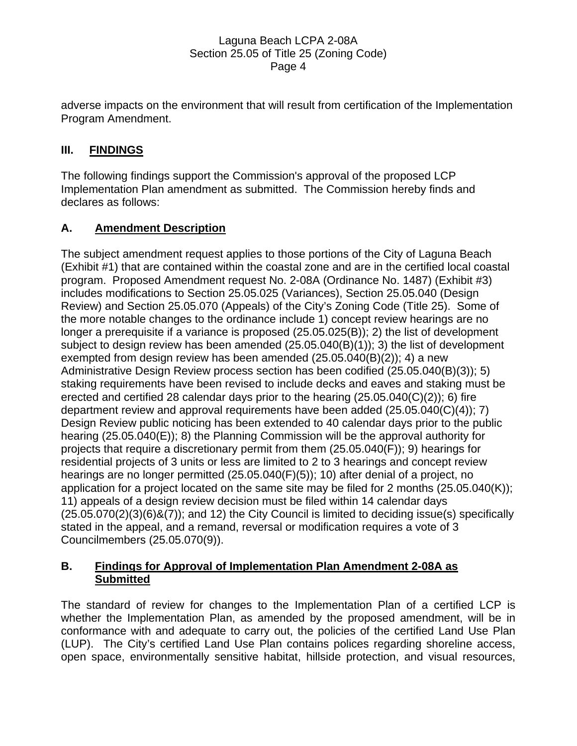adverse impacts on the environment that will result from certification of the Implementation Program Amendment.

# **III. FINDINGS**

The following findings support the Commission's approval of the proposed LCP Implementation Plan amendment as submitted. The Commission hereby finds and declares as follows:

# **A. Amendment Description**

The subject amendment request applies to those portions of the City of Laguna Beach (Exhibit #1) that are contained within the coastal zone and are in the certified local coastal program. Proposed Amendment request No. 2-08A (Ordinance No. 1487) (Exhibit #3) includes modifications to Section 25.05.025 (Variances), Section 25.05.040 (Design Review) and Section 25.05.070 (Appeals) of the City's Zoning Code (Title 25). Some of the more notable changes to the ordinance include 1) concept review hearings are no longer a prerequisite if a variance is proposed (25.05.025(B)); 2) the list of development subject to design review has been amended (25.05.040(B)(1)); 3) the list of development exempted from design review has been amended (25.05.040(B)(2)); 4) a new Administrative Design Review process section has been codified (25.05.040(B)(3)); 5) staking requirements have been revised to include decks and eaves and staking must be erected and certified 28 calendar days prior to the hearing  $(25.05.040(C)(2))$ ; 6) fire department review and approval requirements have been added (25.05.040(C)(4)); 7) Design Review public noticing has been extended to 40 calendar days prior to the public hearing (25.05.040(E)); 8) the Planning Commission will be the approval authority for projects that require a discretionary permit from them (25.05.040(F)); 9) hearings for residential projects of 3 units or less are limited to 2 to 3 hearings and concept review hearings are no longer permitted (25.05.040(F)(5)); 10) after denial of a project, no application for a project located on the same site may be filed for 2 months (25.05.040(K)); 11) appeals of a design review decision must be filed within 14 calendar days  $(25.05.070(2)(3)(6)$ & $(7)$ ; and 12) the City Council is limited to deciding issue(s) specifically stated in the appeal, and a remand, reversal or modification requires a vote of 3 Councilmembers (25.05.070(9)).

## **B. Findings for Approval of Implementation Plan Amendment 2-08A as Submitted**

The standard of review for changes to the Implementation Plan of a certified LCP is whether the Implementation Plan, as amended by the proposed amendment, will be in conformance with and adequate to carry out, the policies of the certified Land Use Plan (LUP). The City's certified Land Use Plan contains polices regarding shoreline access, open space, environmentally sensitive habitat, hillside protection, and visual resources,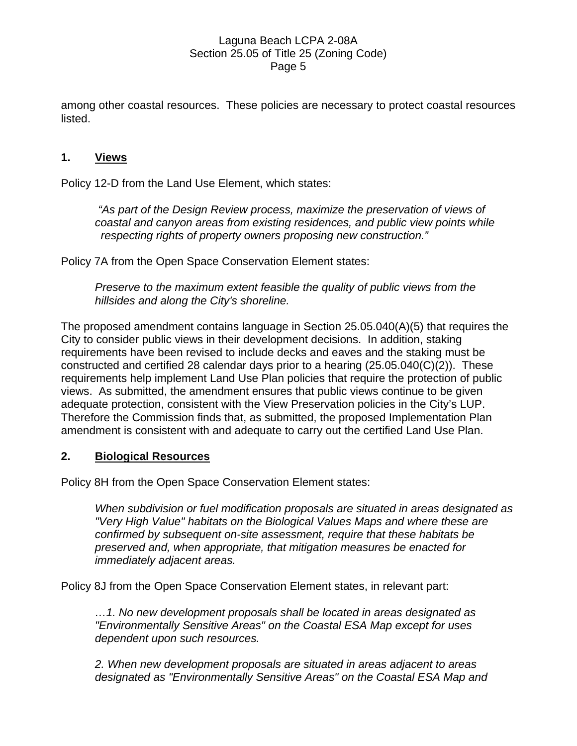among other coastal resources. These policies are necessary to protect coastal resources listed.

### **1. Views**

Policy 12-D from the Land Use Element, which states:

 *"As part of the Design Review process, maximize the preservation of views of coastal and canyon areas from existing residences, and public view points while respecting rights of property owners proposing new construction."* 

Policy 7A from the Open Space Conservation Element states:

*Preserve to the maximum extent feasible the quality of public views from the hillsides and along the City's shoreline.* 

The proposed amendment contains language in Section 25.05.040(A)(5) that requires the City to consider public views in their development decisions. In addition, staking requirements have been revised to include decks and eaves and the staking must be constructed and certified 28 calendar days prior to a hearing  $(25.05.040(C)(2))$ . These requirements help implement Land Use Plan policies that require the protection of public views. As submitted, the amendment ensures that public views continue to be given adequate protection, consistent with the View Preservation policies in the City's LUP. Therefore the Commission finds that, as submitted, the proposed Implementation Plan amendment is consistent with and adequate to carry out the certified Land Use Plan.

### **2. Biological Resources**

Policy 8H from the Open Space Conservation Element states:

*When subdivision or fuel modification proposals are situated in areas designated as "Very High Value" habitats on the Biological Values Maps and where these are confirmed by subsequent on-site assessment, require that these habitats be preserved and, when appropriate, that mitigation measures be enacted for immediately adjacent areas.* 

Policy 8J from the Open Space Conservation Element states, in relevant part:

*…1. No new development proposals shall be located in areas designated as "Environmentally Sensitive Areas" on the Coastal ESA Map except for uses dependent upon such resources.* 

*2. When new development proposals are situated in areas adjacent to areas designated as "Environmentally Sensitive Areas" on the Coastal ESA Map and*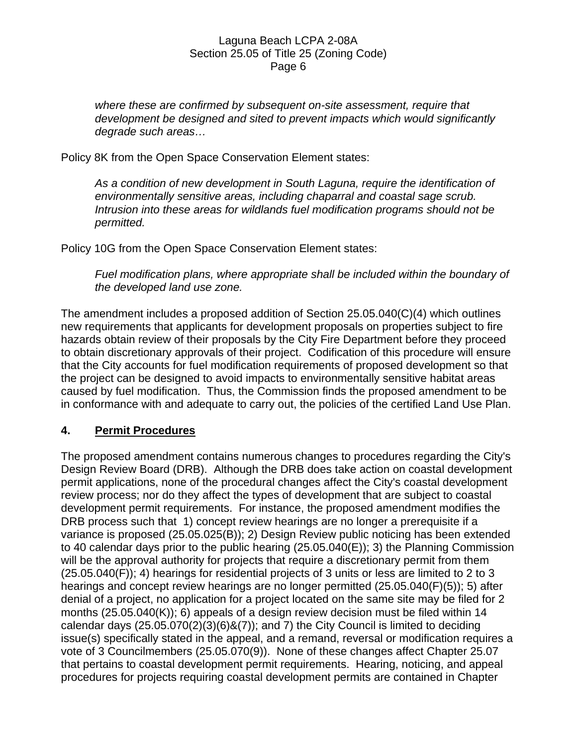*where these are confirmed by subsequent on-site assessment, require that development be designed and sited to prevent impacts which would significantly degrade such areas…* 

Policy 8K from the Open Space Conservation Element states:

As a condition of new development in South Laguna, require the identification of *environmentally sensitive areas, including chaparral and coastal sage scrub. Intrusion into these areas for wildlands fuel modification programs should not be permitted.* 

Policy 10G from the Open Space Conservation Element states:

*Fuel modification plans, where appropriate shall be included within the boundary of the developed land use zone.* 

The amendment includes a proposed addition of Section 25.05.040(C)(4) which outlines new requirements that applicants for development proposals on properties subject to fire hazards obtain review of their proposals by the City Fire Department before they proceed to obtain discretionary approvals of their project. Codification of this procedure will ensure that the City accounts for fuel modification requirements of proposed development so that the project can be designed to avoid impacts to environmentally sensitive habitat areas caused by fuel modification. Thus, the Commission finds the proposed amendment to be in conformance with and adequate to carry out, the policies of the certified Land Use Plan.

## **4. Permit Procedures**

The proposed amendment contains numerous changes to procedures regarding the City's Design Review Board (DRB). Although the DRB does take action on coastal development permit applications, none of the procedural changes affect the City's coastal development review process; nor do they affect the types of development that are subject to coastal development permit requirements. For instance, the proposed amendment modifies the DRB process such that 1) concept review hearings are no longer a prerequisite if a variance is proposed (25.05.025(B)); 2) Design Review public noticing has been extended to 40 calendar days prior to the public hearing (25.05.040(E)); 3) the Planning Commission will be the approval authority for projects that require a discretionary permit from them  $(25.05.040(F))$ ; 4) hearings for residential projects of 3 units or less are limited to 2 to 3 hearings and concept review hearings are no longer permitted (25.05.040(F)(5)); 5) after denial of a project, no application for a project located on the same site may be filed for 2 months (25.05.040(K)); 6) appeals of a design review decision must be filed within 14 calendar days  $(25.05.070(2)(3)(6)$ & $(7)$ ; and 7) the City Council is limited to deciding issue(s) specifically stated in the appeal, and a remand, reversal or modification requires a vote of 3 Councilmembers (25.05.070(9)). None of these changes affect Chapter 25.07 that pertains to coastal development permit requirements. Hearing, noticing, and appeal procedures for projects requiring coastal development permits are contained in Chapter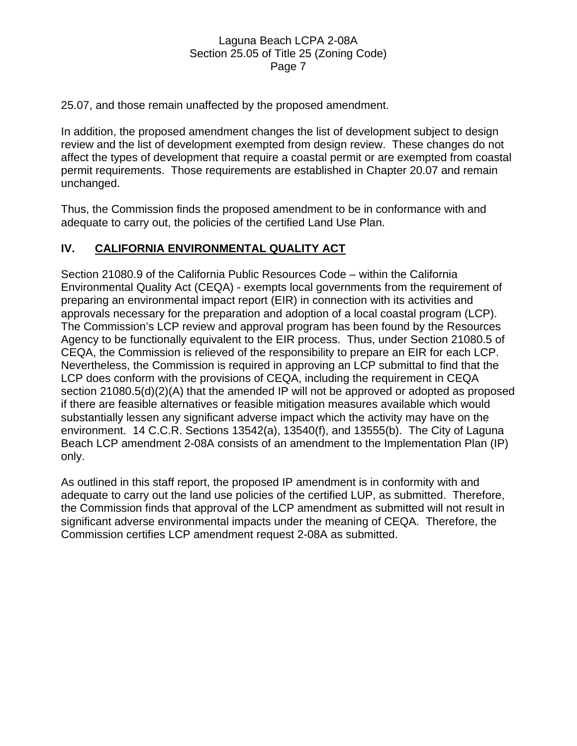25.07, and those remain unaffected by the proposed amendment.

In addition, the proposed amendment changes the list of development subject to design review and the list of development exempted from design review. These changes do not affect the types of development that require a coastal permit or are exempted from coastal permit requirements. Those requirements are established in Chapter 20.07 and remain unchanged.

Thus, the Commission finds the proposed amendment to be in conformance with and adequate to carry out, the policies of the certified Land Use Plan.

## **IV. CALIFORNIA ENVIRONMENTAL QUALITY ACT**

Section 21080.9 of the California Public Resources Code – within the California Environmental Quality Act (CEQA) - exempts local governments from the requirement of preparing an environmental impact report (EIR) in connection with its activities and approvals necessary for the preparation and adoption of a local coastal program (LCP). The Commission's LCP review and approval program has been found by the Resources Agency to be functionally equivalent to the EIR process. Thus, under Section 21080.5 of CEQA, the Commission is relieved of the responsibility to prepare an EIR for each LCP. Nevertheless, the Commission is required in approving an LCP submittal to find that the LCP does conform with the provisions of CEQA, including the requirement in CEQA section 21080.5(d)(2)(A) that the amended IP will not be approved or adopted as proposed if there are feasible alternatives or feasible mitigation measures available which would substantially lessen any significant adverse impact which the activity may have on the environment. 14 C.C.R. Sections 13542(a), 13540(f), and 13555(b). The City of Laguna Beach LCP amendment 2-08A consists of an amendment to the Implementation Plan (IP) only.

As outlined in this staff report, the proposed IP amendment is in conformity with and adequate to carry out the land use policies of the certified LUP, as submitted. Therefore, the Commission finds that approval of the LCP amendment as submitted will not result in significant adverse environmental impacts under the meaning of CEQA. Therefore, the Commission certifies LCP amendment request 2-08A as submitted.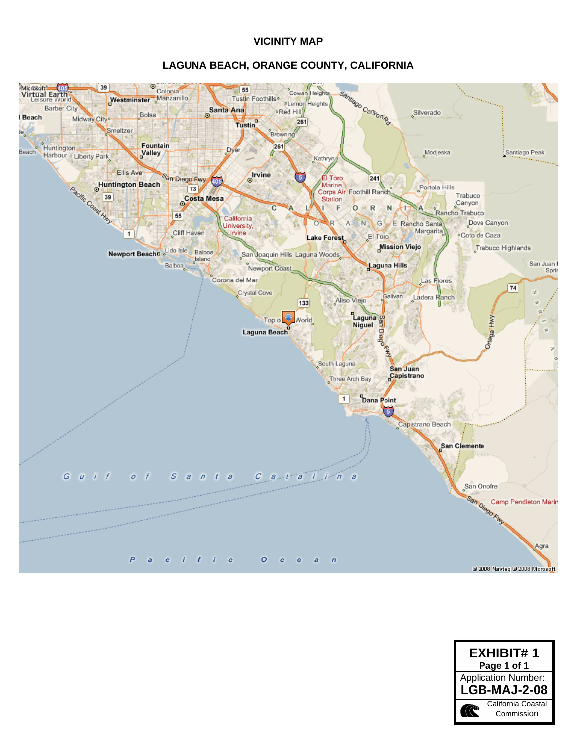#### **VICINITY MAP**

#### **LAGUNA BEACH, ORANGE COUNTY, CALIFORNIA**



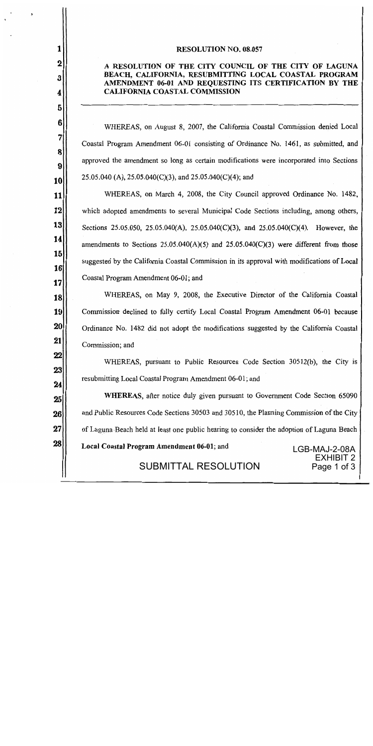#### **RESOLUTION NO. 08.057**

1

 $\mathbf 2$ 

3

4

5

6

7

8

9

10

11

12

13

14

15

 $16$ 

17

18

19

20

21

22

23

24

28

#### A RESOLUTION OF THE CITY COUNCIL OF THE CITY OF LAGUNA BEACH, CALIFORNIA, RESUBMITTING LOCAL COASTAL PROGRAM AMENDMENT 06-01 AND REQUESTING ITS CERTIFICATION BY THE **CALIFORNIA COASTAL COMMISSION**

WHEREAS, on August 8, 2007, the California Coastal Commission denied Local Coastal Program Amendment 06-01 consisting of Ordinance No. 1461, as submitted, and approved the amendment so long as certain modifications were incorporated into Sections  $25.05.040$  (A),  $25.05.040$ (C)(3), and  $25.05.040$ (C)(4); and

WHEREAS, on March 4, 2008, the City Council approved Ordinance No. 1482, which adopted amendments to several Municipal Code Sections including, among others, Sections 25.05.050, 25.05.040(A), 25.05.040(C)(3), and 25.05.040(C)(4). However, the amendments to Sections  $25.05.040(A)(5)$  and  $25.05.040(C)(3)$  were different from those suggested by the California Coastal Commission in its approval with modifications of Local Coastal Program Amendment 06-01; and

WHEREAS, on May 9, 2008, the Executive Director of the California Coastal Commission declined to fully certify Local Coastal Program Amendment 06-01 because Ordinance No. 1482 did not adopt the modifications suggested by the California Coastal Commission; and

WHEREAS, pursuant to Public Resources Code Section 30512(b), the City is resubmitting Local Coastal Program Amendment 06-01; and

**WHEREAS**, after notice duly given pursuant to Government Code Section 65090 25 and Public Resources Code Sections 30503 and 30510, the Planning Commission of the City 26 27 of Laguna Beach held at least one public hearing to consider the adoption of Laguna Beach

Local Coastal Program Amendment 06-01; and

LGB-MAJ-2-08A **EXHIBIT 2** Page 1 of 3

**SUBMITTAL RESOLUTION**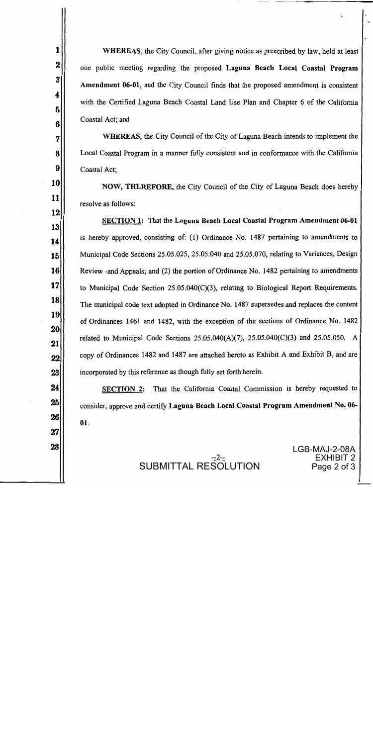**WHEREAS**, the City Council, after giving notice as prescribed by law, held at least one public meeting regarding the proposed Laguna Beach Local Coastal Program Amendment 06-01, and the City Council finds that the proposed amendment is consistent with the Certified Laguna Beach Coastal Land Use Plan and Chapter 6 of the California Coastal Act; and

1

 $\overline{\mathbf{2}}$ 

3

4

5

6

7

8

9

10

11

12

13

14

15

16

17

**18** 

19

20

21

22

23

24

25

26

27

28

**WHEREAS, the City Council of the City of Laguna Beach intends to implement the** Local Coastal Program in a manner fully consistent and in conformance with the California Coastal Act;

NOW, THEREFORE, the City Council of the City of Laguna Beach does hereby resolve as follows:

SECTION 1: That the Laguna Beach Local Coastal Program Amendment 06-01 is hereby approved, consisting of: (1) Ordinance No. 1487 pertaining to amendments to Municipal Code Sections 25.05.025, 25.05.040 and 25.05.070, relating to Variances, Design Review - and Appeals; and (2) the portion of Ordinance No. 1482 pertaining to amendments to Municipal Code Section  $25.05.040(C)(3)$ , relating to Biological Report Requirements. The municipal code text adopted in Ordinance No. 1487 supersedes and replaces the content of Ordinances 1461 and 1482, with the exception of the sections of Ordinance No. 1482 related to Municipal Code Sections  $25.05.040(A)(7)$ ,  $25.05.040(C)(3)$  and  $25.05.050$ . A copy of Ordinances 1482 and 1487 are attached hereto as Exhibit A and Exhibit B, and are incorporated by this reference as though fully set forth herein.

SECTION 2: That the California Coastal Commission is hereby requested to consider, approve and certify Laguna Beach Local Coastal Program Amendment No. 06-01.

> LGB-MAJ-2-08A EXHIBIT 2 Page 2 of 3

SUBMITTAL RESOLUTION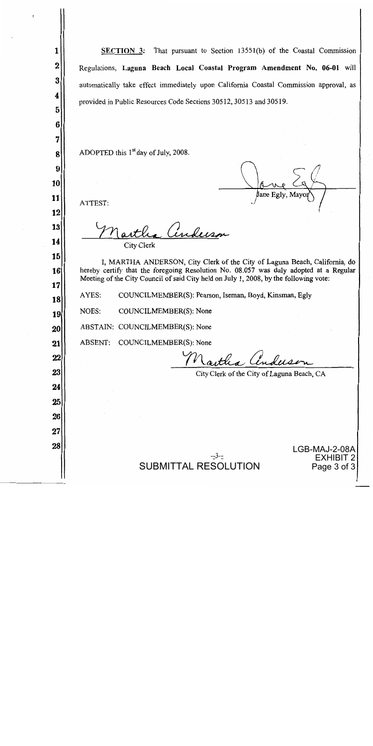SECTION 3: That pursuant to Section 13551(b) of the Coastal Commission 1  $\overline{2}$ Regulations, Laguna Beach Local Coastal Program Amendment No. 06-01 will 3 automatically take effect immediately upon California Coastal Commission approval, as 4 provided in Public Resources Code Sections 30512, 30513 and 30519. 5 6 7 ADOPTED this 1<sup>st</sup> day of July, 2008. 8  $\boldsymbol{9}$ 10 Jane Egly, Mayo 11 ATTEST: 12 a Anderson 13 14 **City Clerk** 15 I, MARTHA ANDERSON, City Clerk of the City of Laguna Beach, California, do hereby certify that the foregoing Resolution No. 08.057 was duly adopted at a Regular 16 Meeting of the City Council of said City held on July 1, 2008, by the following vote: 17 AYES: COUNCILMEMBER(S): Pearson, Iseman, Boyd, Kinsman, Egly 18 NOES: COUNCILMEMBER(S): None 19 ABSTAIN: COUNCILMEMBER(S): None 20 21 ABSENT: COUNCILMEMBER(S): None Nastlea An 22 23 City Clerk of the City of Laguna Beach, CA 24 25 26 27 28 LGB-MAJ-2-08A EXHIBIT 2 SUBMITTAL RESOLUTION Page 3 of 3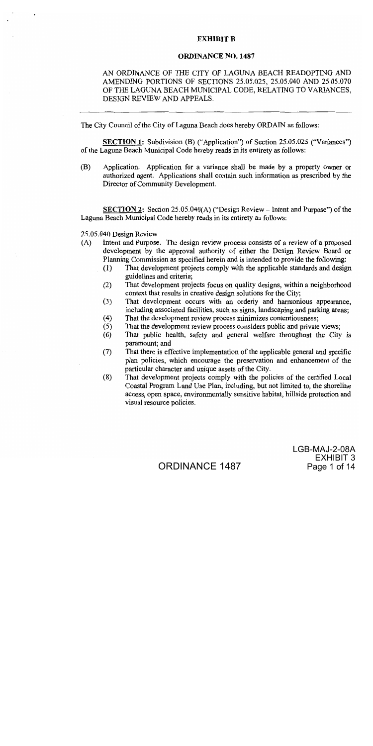#### **EXHIBIT B**

#### **ORDINANCE NO. 1487**

#### AN ORDINANCE OF THE CITY OF LAGUNA BEACH READOPTING AND AMENDING PORTIONS OF SECTIONS 25.05.025, 25.05.040 AND 25.05.070 OF THE LAGUNA BEACH MUNICIPAL CODE, RELATING TO VARIANCES, DESIGN REVIEW AND APPEALS.

The City Council of the City of Laguna Beach does hereby ORDAIN as follows:

**SECTION 1:** Subdivision (B) ("Application") of Section 25.05.025 ("Variances") of the Laguna Beach Municipal Code hereby reads in its entirety as follows:

(B) Application. Application for a variance shall be made by a property owner or authorized agent. Applications shall contain such information as prescribed by the Director of Community Development.

**SECTION 2:** Section 25.05.040(A) ("Design Review – Intent and Purpose") of the Laguna Beach Municipal Code hereby reads in its entirety as follows:

25.05.040 Design Review

- Intent and Purpose. The design review process consists of a review of a proposed  $(A)$ development by the approval authority of either the Design Review Board or Planning Commission as specified herein and is intended to provide the following:
	- That development projects comply with the applicable standards and design  $(1)$ guidelines and criteria:
	- That development projects focus on quality designs, within a neighborhood  $(2)$ context that results in creative design solutions for the City;
	- That development occurs with an orderly and harmonious appearance,  $(3)$ including associated facilities, such as signs, landscaping and parking areas;
	- That the development review process minimizes contentiousness;  $(4)$
	- That the development review process considers public and private views;  $(5)$
	- That public health, safety and general welfare throughout the City is  $(6)$ paramount: and
	- $(7)$ That there is effective implementation of the applicable general and specific plan policies, which encourage the preservation and enhancement of the particular character and unique assets of the City.
	- That development projects comply with the policies of the certified Local  $(8)$ Coastal Program Land Use Plan, including, but not limited to, the shoreline access, open space, environmentally sensitive habitat, hillside protection and visual resource policies.

LGB-MAJ-2-08A EXHIBIT 3 Page 1 of 14

**ORDINANCE 1487**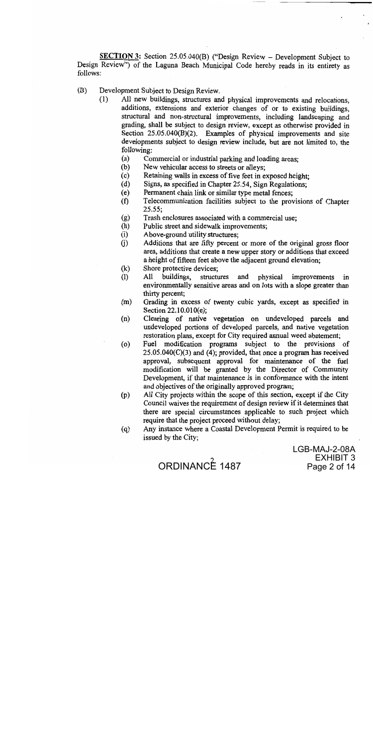**SECTION 3:** Section 25.05.040(B) ("Design Review – Development Subject to Design Review") of the Laguna Beach Municipal Code hereby reads in its entirety as follows:

- (B) Development Subject to Design Review.
	- All new buildings, structures and physical improvements and relocations,  $(1)$ additions, extensions and exterior changes of or to existing buildings, structural and non-structural improvements, including landscaping and grading, shall be subject to design review, except as otherwise provided in Section  $25.05.040(B)(2)$ . Examples of physical improvements and site developments subject to design review include, but are not limited to, the following:
		- $(a)$ Commercial or industrial parking and loading areas;
		- $(b)$ New vehicular access to streets or alleys;
		- Retaining walls in excess of five feet in exposed height:  $(c)$
		- Signs, as specified in Chapter 25.54, Sign Regulations;  $(d)$
		- Permanent chain link or similar type metal fences;  $(e)$
		- $(f)$ Telecommunication facilities subject to the provisions of Chapter  $25.55:$
		- Trash enclosures associated with a commercial use;  $(g)$
		- Public street and sidewalk improvements;  $(h)$
		- Above-ground utility structures;  $(i)$
		- Additions that are fifty percent or more of the original gross floor  $(i)$ area, additions that create a new upper story or additions that exceed a height of fifteen feet above the adjacent ground elevation;
		- Shore protective devices;  $(k)$
		- $(1)$ All buildings, structures and physical improvements in environmentally sensitive areas and on lots with a slope greater than thirty percent;
		- Grading in excess of twenty cubic yards, except as specified in  $(m)$ Section 22.10.010(e);
		- Clearing of native vegetation on undeveloped parcels and  $(n)$ undeveloped portions of developed parcels, and native vegetation restoration plans, except for City required annual weed abatement;
		- Fuel modification programs subject to the provisions of  $(0)$  $25.05.040(C)(3)$  and (4); provided, that once a program has received approval, subsequent approval for maintenance of the fuel modification will be granted by the Director of Community Development, if that maintenance is in conformance with the intent and objectives of the originally approved program;
		- All City projects within the scope of this section, except if the City  $(p)$ Council waives the requirement of design review if it determines that there are special circumstances applicable to such project which require that the project proceed without delay;
		- Any instance where a Coastal Development Permit is required to be  $(q)$ issued by the City;

LGB-MAJ-2-08A EXHIBIT 3 Page 2 of 14

ORDINANCE 1487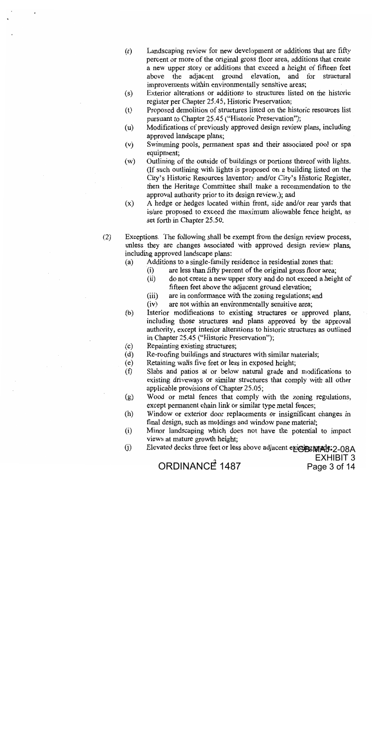- $(r)$ Landscaping review for new development or additions that are fifty percent or more of the original gross floor area, additions that create a new upper story or additions that exceed a height of fifteen feet above the adjacent ground elevation, and for structural improvements within environmentally sensitive areas;
- Exterior alterations or additions to structures listed on the historic  $(s)$ register per Chapter 25.45, Historic Preservation;
- $(t)$ Proposed demolition of structures listed on the historic resources list pursuant to Chapter 25.45 ("Historic Preservation");
- Modifications of previously approved design review plans, including  $(u)$ approved landscape plans;
- $(v)$ Swimming pools, permanent spas and their associated pool or spa equipment;
- Outlining of the outside of buildings or portions thereof with lights.  $(w)$ (If such outlining with lights is proposed on a building listed on the City's Historic Resources Inventory and/or City's Historic Register, then the Heritage Committee shall make a recommendation to the approval authority prior to its design review.); and
- A hedge or hedges located within front, side and/or rear yards that  $(x)$ is/are proposed to exceed the maximum allowable fence height, as set forth in Chapter 25.50.
- $(2)$ Exceptions. The following shall be exempt from the design review process, unless they are changes associated with approved design review plans, including approved landscape plans:
	- Additions to a single-family residence in residential zones that:  $(a)$ 
		- are less than fifty percent of the original gross floor area;  $(i)$
		- $(ii)$ do not create a new upper story and do not exceed a height of fifteen feet above the adjacent ground elevation;
		- are in conformance with the zoning regulations; and  $(iii)$
		- $(iv)$ are not within an environmentally sensitive area;
	- Interior modifications to existing structures or approved plans,  $(b)$ including those structures and plans approved by the approval authority, except interior alterations to historic structures as outlined in Chapter 25.45 ("Historic Preservation");
	- $(c)$ Repainting existing structures;
	- $(d)$ Re-roofing buildings and structures with similar materials;
	- Retaining walls five feet or less in exposed height;  $(e)$
	- Slabs and patios at or below natural grade and modifications to  $(f)$ existing driveways or similar structures that comply with all other applicable provisions of Chapter 25.05;
	- Wood or metal fences that comply with the zoning regulations,  $(g)$ except permanent chain link or similar type metal fences;
	- $(h)$ Window or exterior door replacements or insignificant changes in final design, such as moldings and window pane material;
	- $(i)$ Minor landscaping which does not have the potential to impact views at mature growth height;
	- Elevated decks three feet or less above adjacent exiging MAd9:2-08A  $(j)$ EXHIBIT 3

Page 3 of 14

ORDINANC $\vec{P}$  1487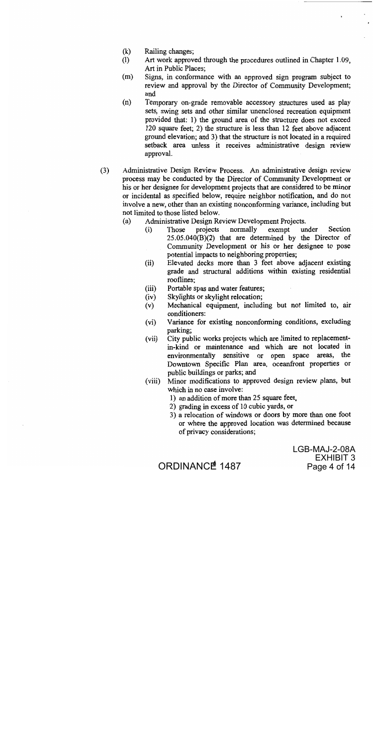- $(k)$ Railing changes:
- Art work approved through the procedures outlined in Chapter 1.09,  $(1)$ Art in Public Places:
- Signs, in conformance with an approved sign program subject to  $(m)$ review and approval by the Director of Community Development; and
- $(n)$ Temporary on-grade removable accessory structures used as play sets, swing sets and other similar unenclosed recreation equipment provided that: 1) the ground area of the structure does not exceed 120 square feet; 2) the structure is less than 12 feet above adjacent ground elevation; and 3) that the structure is not located in a required setback area unless it receives administrative design review approval.
- $(3)$ Administrative Design Review Process. An administrative design review process may be conducted by the Director of Community Development or his or her designee for development projects that are considered to be minor or incidental as specified below, require neighbor notification, and do not involve a new, other than an existing nonconforming variance, including but not limited to those listed below.
	- $(a)$ Administrative Design Review Development Projects.
		- projects normally exempt under Section  $(i)$ Those  $25.05.040(B)(2)$  that are determined by the Director of Community Development or his or her designee to pose potential impacts to neighboring properties;
		- Elevated decks more than 3 feet above adjacent existing  $(ii)$ grade and structural additions within existing residential rooflines:
		- $(iii)$ Portable spas and water features;
		- Skylights or skylight relocation;  $(iv)$
		- Mechanical equipment, including but not limited to, air  $(v)$ conditioners:
		- Variance for existing nonconforming conditions, excluding  $(vi)$ parking:
		- $(vii)$ City public works projects which are limited to replacementin-kind or maintenance and which are not located in environmentally sensitive or open space areas, the Downtown Specific Plan area, oceanfront properties or public buildings or parks; and
		- Minor modifications to approved design review plans, but  $(viii)$ which in no case involve:
			- 1) an addition of more than 25 square feet,
			- 2) grading in excess of 10 cubic yards, or
			- 3) a relocation of windows or doors by more than one foot or where the approved location was determined because of privacy considerations;

LGB-MAJ-2-08A EXHIBIT 3 Page 4 of 14

ORDINANCE<sup>4</sup> 1487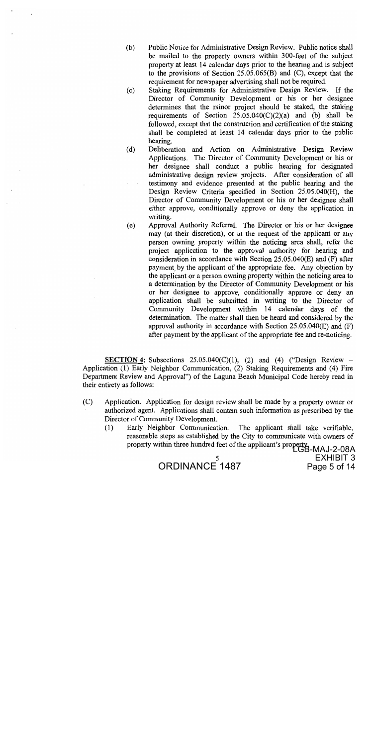- Public Notice for Administrative Design Review. Public notice shall  $(b)$ be mailed to the property owners within 300-feet of the subject property at least 14 calendar days prior to the hearing and is subject to the provisions of Section 25.05.065(B) and (C), except that the requirement for newspaper advertising shall not be required.
- Staking Requirements for Administrative Design Review. If the  $(c)$ Director of Community Development or his or her designee determines that the minor project should be staked, the staking requirements of Section  $25.05.040(C)(2)(a)$  and (b) shall be followed, except that the construction and certification of the staking shall be completed at least 14 calendar days prior to the public hearing.
- $(d)$ Deliberation and Action on Administrative Design Review Applications. The Director of Community Development or his or her designee shall conduct a public hearing for designated administrative design review projects. After consideration of all testimony and evidence presented at the public hearing and the Design Review Criteria specified in Section 25.05.040(H), the Director of Community Development or his or her designee shall either approve, conditionally approve or deny the application in writing.
- Approval Authority Referral. The Director or his or her designee  $(e)$ may (at their discretion), or at the request of the applicant or any person owning property within the noticing area shall, refer the project application to the approval authority for hearing and consideration in accordance with Section 25.05.040(E) and (F) after payment by the applicant of the appropriate fee. Any objection by the applicant or a person owning property within the noticing area to a determination by the Director of Community Development or his or her designee to approve, conditionally approve or deny an application shall be submitted in writing to the Director of Community Development within 14 calendar days of the determination. The matter shall then be heard and considered by the approval authority in accordance with Section  $25.05.040(E)$  and  $(F)$ after payment by the applicant of the appropriate fee and re-noticing.

**SECTION 4:** Subsections  $25.05.040(C)(1)$ , (2) and (4) ("Design Review – Application (1) Early Neighbor Communication, (2) Staking Requirements and (4) Fire Department Review and Approval") of the Laguna Beach Municipal Code hereby read in their entirety as follows:

- $(C)$ Application. Application for design review shall be made by a property owner or authorized agent. Applications shall contain such information as prescribed by the Director of Community Development.
	- Early Neighbor Communication. The applicant shall take verifiable,  $(1)$ reasonable steps as established by the City to communicate with owners of property within three hundred feet of the applicant's property.<br>LGB-MAJ-2-08A

ORDINANCE<sup>5</sup>1487

EXHIBIT 3 Page 5 of 14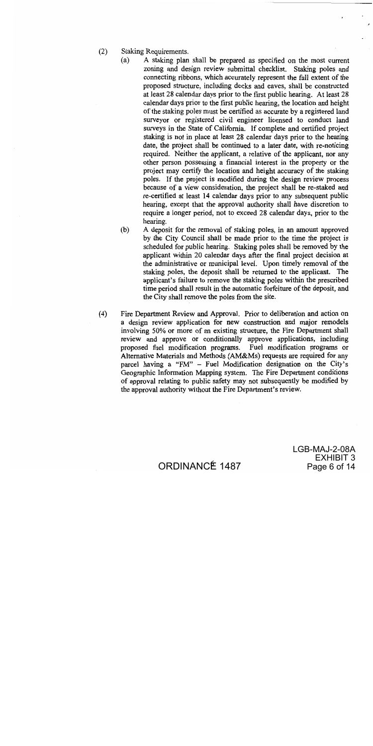- $(2)$ Staking Requirements.
	- $(a)$ A staking plan shall be prepared as specified on the most current zoning and design review submittal checklist. Staking poles and connecting ribbons, which accurately represent the full extent of the proposed structure, including decks and eaves, shall be constructed at least 28 calendar days prior to the first public hearing. At least 28 calendar days prior to the first public hearing, the location and height of the staking poles must be certified as accurate by a registered land surveyor or registered civil engineer licensed to conduct land surveys in the State of California. If complete and certified project staking is not in place at least 28 calendar days prior to the hearing date, the project shall be continued to a later date, with re-noticing required. Neither the applicant, a relative of the applicant, nor any other person possessing a financial interest in the property or the project may certify the location and height accuracy of the staking poles. If the project is modified during the design review process because of a view consideration, the project shall be re-staked and re-certified at least 14 calendar days prior to any subsequent public hearing, except that the approval authority shall have discretion to require a longer period, not to exceed 28 calendar days, prior to the hearing.
	- $(b)$ A deposit for the removal of staking poles, in an amount approved by the City Council shall be made prior to the time the project is scheduled for public hearing. Staking poles shall be removed by the applicant within 20 calendar days after the final project decision at the administrative or municipal level. Upon timely removal of the staking poles, the deposit shall be returned to the applicant. The applicant's failure to remove the staking poles within the prescribed time period shall result in the automatic forfeiture of the deposit, and the City shall remove the poles from the site.
- Fire Department Review and Approval. Prior to deliberation and action on  $(4)$ a design review application for new construction and major remodels involving 50% or more of an existing structure, the Fire Department shall review and approve or conditionally approve applications, including proposed fuel modification programs. Fuel modification programs or Alternative Materials and Methods (AM&Ms) requests are required for any parcel having a "FM" - Fuel Modification designation on the City's Geographic Information Mapping system. The Fire Department conditions of approval relating to public safety may not subsequently be modified by the approval authority without the Fire Department's review.

LGB-MAJ-2-08A EXHIBIT 3 Page 6 of 14

ORDINANCE 1487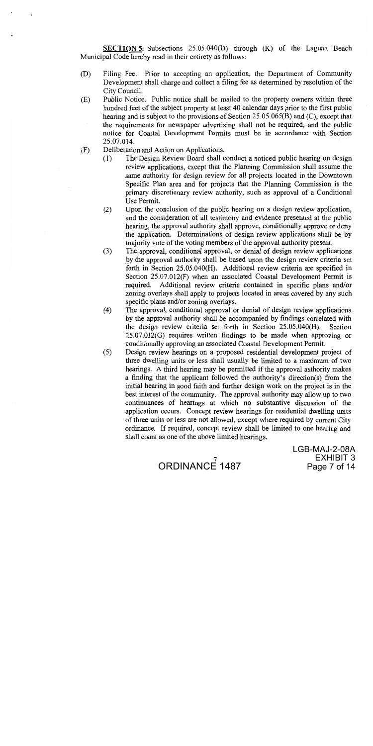**SECTION 5:** Subsections 25.05.040(D) through (K) of the Laguna Beach Municipal Code hereby read in their entirety as follows:

- (D) Filing Fee. Prior to accepting an application, the Department of Community Development shall charge and collect a filing fee as determined by resolution of the City Council.
- Public Notice. Public notice shall be mailed to the property owners within three  $(E)$ hundred feet of the subject property at least 40 calendar days prior to the first public hearing and is subject to the provisions of Section 25.05.065(B) and (C), except that the requirements for newspaper advertising shall not be required, and the public notice for Coastal Development Permits must be in accordance with Section 25.07.014.
- Deliberation and Action on Applications.  $(F)$ 
	- The Design Review Board shall conduct a noticed public hearing on design  $(1)$ review applications, except that the Planning Commission shall assume the same authority for design review for all projects located in the Downtown Specific Plan area and for projects that the Planning Commission is the primary discretionary review authority, such as approval of a Conditional Use Permit.
	- Upon the conclusion of the public hearing on a design review application,  $(2)$ and the consideration of all testimony and evidence presented at the public hearing, the approval authority shall approve, conditionally approve or deny the application. Determinations of design review applications shall be by majority vote of the voting members of the approval authority present.
	- The approval, conditional approval, or denial of design review applications  $(3)$ by the approval authority shall be based upon the design review criteria set forth in Section 25.05.040(H). Additional review criteria are specified in Section 25.07.012(F) when an associated Coastal Development Permit is required. Additional review criteria contained in specific plans and/or zoning overlays shall apply to projects located in areas covered by any such specific plans and/or zoning overlays.
	- $(4)$ The approval, conditional approval or denial of design review applications by the approval authority shall be accompanied by findings correlated with the design review criteria set forth in Section 25.05.040(H). Section 25.07.012(G) requires written findings to be made when approving or conditionally approving an associated Coastal Development Permit.
	- Design review hearings on a proposed residential development project of  $(5)$ three dwelling units or less shall usually be limited to a maximum of two hearings. A third hearing may be permitted if the approval authority makes a finding that the applicant followed the authority's direction(s) from the initial hearing in good faith and further design work on the project is in the best interest of the community. The approval authority may allow up to two continuances of hearings at which no substantive discussion of the application occurs. Concept review hearings for residential dwelling units of three units or less are not allowed, except where required by current City ordinance. If required, concept review shall be limited to one hearing and shall count as one of the above limited hearings.



LGB-MAJ-2-08A EXHIBIT 3 Page 7 of 14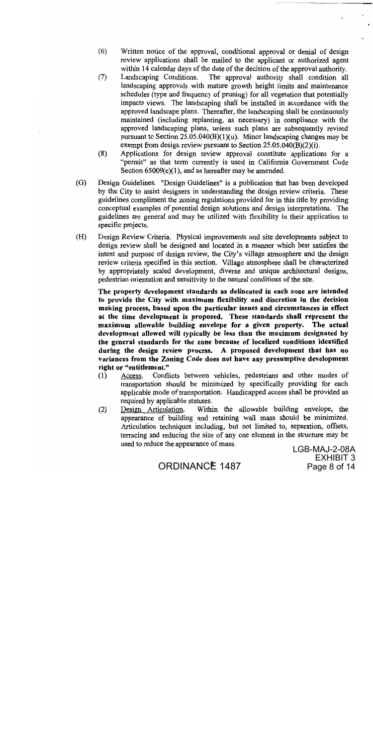- $(6)$ Written notice of the approval, conditional approval or denial of design review applications shall be mailed to the applicant or authorized agent within 14 calendar days of the date of the decision of the approval authority.
- $(7)$ Landscaping Conditions. The approval authority shall condition all landscaping approvals with mature growth height limits and maintenance schedules (type and frequency of pruning) for all vegetation that potentially impacts views. The landscaping shall be installed in accordance with the approved landscape plans. Thereafter, the landscaping shall be continuously maintained (including replanting, as necessary) in compliance with the approved landscaping plans, unless such plans are subsequently revised pursuant to Section  $25.05.040(B)(1)(u)$ . Minor landscaping changes may be exempt from design review pursuant to Section  $25.05.040(B)(2)(i)$ .
- $(8)$ Applications for design review approval constitute applications for a "permit" as that term currently is used in California Government Code Section  $65009(c)(1)$ , and as hereafter may be amended.
- $(G)$ Design Guidelines. "Design Guidelines" is a publication that has been developed by the City to assist designers in understanding the design review criteria. These guidelines compliment the zoning regulations provided for in this title by providing conceptual examples of potential design solutions and design interpretations. The guidelines are general and may be utilized with flexibility in their application to specific projects.
- $(H)$ Design Review Criteria. Physical improvements and site developments subject to design review shall be designed and located in a manner which best satisfies the intent and purpose of design review, the City's village atmosphere and the design review criteria specified in this section. Village atmosphere shall be characterized by appropriately scaled development, diverse and unique architectural designs, pedestrian orientation and sensitivity to the natural conditions of the site.

The property development standards as delineated in each zone are intended to provide the City with maximum flexibility and discretion in the decision making process, based upon the particular issues and circumstances in effect at the time development is proposed. These standards shall represent the maximum allowable building envelope for a given property. The actual development allowed will typically be less than the maximum designated by the general standards for the zone because of localized conditions identified during the design review process. A proposed development that has no variances from the Zoning Code does not have any presumptive development right or "entitlement."

- Conflicts between vehicles, pedestrians and other modes of  $(1)$ Access. transportation should be minimized by specifically providing for each applicable mode of transportation. Handicapped access shall be provided as required by applicable statutes.
- $(2)$ Design Articulation. Within the allowable building envelope, the appearance of building and retaining wall mass should be minimized. Articulation techniques including, but not limited to, separation, offsets, terracing and reducing the size of any one element in the structure may be used to reduce the appearance of mass.

LGB-MAJ-2-08A EXHIBIT 3 Page 8 of 14

ORDINANCE 1487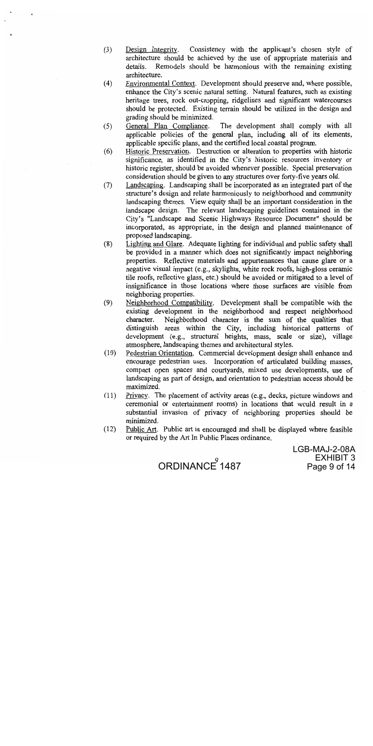- Consistency with the applicant's chosen style of  $(3)$ Design Integrity. architecture should be achieved by the use of appropriate materials and Remodels should be harmonious with the remaining existing details. architecture.
- $(4)$ Environmental Context. Development should preserve and, where possible, enhance the City's scenic natural setting. Natural features, such as existing heritage trees, rock out-cropping, ridgelines and significant watercourses should be protected. Existing terrain should be utilized in the design and grading should be minimized.
- General Plan Compliance.  $(5)$ The development shall comply with all applicable policies of the general plan, including all of its elements, applicable specific plans, and the certified local coastal program.
- Historic Preservation. Destruction or alteration to properties with historic  $(6)$ significance, as identified in the City's historic resources inventory or historic register, should be avoided whenever possible. Special preservation consideration should be given to any structures over forty-five years old.
- Landscaping. Landscaping shall be incorporated as an integrated part of the  $(7)$ structure's design and relate harmoniously to neighborhood and community landscaping themes. View equity shall be an important consideration in the landscape design. The relevant landscaping guidelines contained in the City's "Landscape and Scenic Highways Resource Document" should be incorporated, as appropriate, in the design and planned maintenance of proposed landscaping.
- $(8)$ Lighting and Glare. Adequate lighting for individual and public safety shall be provided in a manner which does not significantly impact neighboring properties. Reflective materials and appurtenances that cause glare or a negative visual impact (e.g., skylights, white rock roofs, high-gloss ceramic tile roofs, reflective glass, etc.) should be avoided or mitigated to a level of insignificance in those locations where those surfaces are visible from neighboring properties.
- $(9)$ Neighborhood Compatibility. Development shall be compatible with the existing development in the neighborhood and respect neighborhood Neighborhood character is the sum of the qualities that character. distinguish areas within the City, including historical patterns of development (e.g., structural heights, mass, scale or size), village atmosphere, landscaping themes and architectural styles.
- $(10)$ Pedestrian Orientation. Commercial development design shall enhance and encourage pedestrian uses. Incorporation of articulated building masses, compact open spaces and courtyards, mixed use developments, use of landscaping as part of design, and orientation to pedestrian access should be maximized.
- $(11)$ Privacy. The placement of activity areas (e.g., decks, picture windows and ceremonial or entertainment rooms) in locations that would result in a substantial invasion of privacy of neighboring properties should be minimized.
- $(12)$ Public Art. Public art is encouraged and shall be displayed where feasible or required by the Art In Public Places ordinance.

LGB-MAJ-2-08A **EXHIBIT 3** Page 9 of 14

ORDINANCE 1487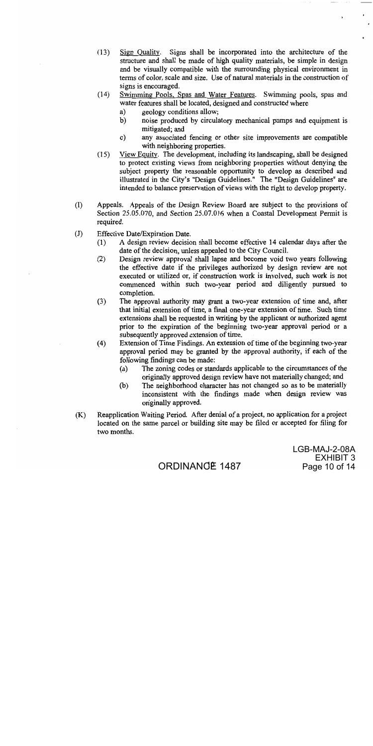- $(13)$ Sign Quality. Signs shall be incorporated into the architecture of the structure and shall be made of high quality materials, be simple in design and be visually compatible with the surrounding physical environment in terms of color, scale and size. Use of natural materials in the construction of signs is encouraged.
- $(14)$ Swimming Pools, Spas and Water Features. Swimming pools, spas and water features shall be located, designed and constructed where
	- geology conditions allow; a)
	- noise produced by circulatory mechanical pumps and equipment is b) mitigated; and
	- $c)$ any associated fencing or other site improvements are compatible with neighboring properties.
- View Equity. The development, including its landscaping, shall be designed  $(15)$ to protect existing views from neighboring properties without denying the subject property the reasonable opportunity to develop as described and illustrated in the City's "Design Guidelines." The "Design Guidelines" are intended to balance preservation of views with the right to develop property.
- $(1)$ Appeals. Appeals of the Design Review Board are subject to the provisions of Section 25.05.070, and Section 25.07.016 when a Coastal Development Permit is required.
- $(J)$ Effective Date/Expiration Date.
	- A design review decision shall become effective 14 calendar days after the  $(1)$ date of the decision, unless appealed to the City Council.
	- Design review approval shall lapse and become void two years following  $(2)$ the effective date if the privileges authorized by design review are not executed or utilized or, if construction work is involved, such work is not commenced within such two-year period and diligently pursued to completion.
	- $(3)$ The approval authority may grant a two-year extension of time and, after that initial extension of time, a final one-year extension of time. Such time extensions shall be requested in writing by the applicant or authorized agent prior to the expiration of the beginning two-year approval period or a subsequently approved extension of time.
	- $(4)$ Extension of Time Findings. An extension of time of the beginning two-year approval period may be granted by the approval authority, if each of the following findings can be made:
		- $(a)$ The zoning codes or standards applicable to the circumstances of the originally approved design review have not materially changed; and
		- The neighborhood character has not changed so as to be materially  $(b)$ inconsistent with the findings made when design review was originally approved.
- $(K)$ Reapplication Waiting Period. After denial of a project, no application for a project located on the same parcel or building site may be filed or accepted for filing for two months.

LGB-MAJ-2-08A EXHIBIT 3 Page 10 of 14

# ORDINANGE 1487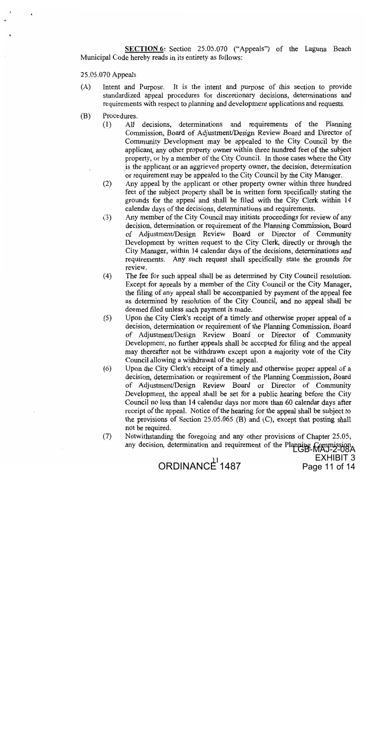SECTION 6: Section 25.05.070 ("Appeals") of the Laguna Beach Municipal Code hereby reads in its entirety as follows:

25.05.070 Appeals

- It is the intent and purpose of this section to provide  $(A)$ Intent and Purpose. standardized appeal procedures for discretionary decisions, determinations and requirements with respect to planning and development applications and requests.
- (B) Procedures.
	- All decisions, determinations and requirements of the Planning  $(1)$ Commission, Board of Adjustment/Design Review Board and Director of Community Development may be appealed to the City Council by the applicant, any other property owner within three hundred feet of the subject property, or by a member of the City Council. In those cases where the City is the applicant or an aggrieved property owner, the decision, determination or requirement may be appealed to the City Council by the City Manager.
	- Any appeal by the applicant or other property owner within three hundred  $(2)$ feet of the subject property shall be in written form specifically stating the grounds for the appeal and shall be filed with the City Clerk within 14 calendar days of the decisions, determinations and requirements.
	- Any member of the City Council may initiate proceedings for review of any  $(3)$ decision, determination or requirement of the Planning Commission, Board of Adjustment/Design Review Board or Director of Community Development by written request to the City Clerk, directly or through the City Manager, within 14 calendar days of the decisions, determinations and requirements. Any such request shall specifically state the grounds for review.
	- The fee for such appeal shall be as determined by City Council resolution.  $(4)$ Except for appeals by a member of the City Council or the City Manager, the filing of any appeal shall be accompanied by payment of the appeal fee as determined by resolution of the City Council, and no appeal shall be deemed filed unless such payment is made.
	- Upon the City Clerk's receipt of a timely and otherwise proper appeal of a  $(5)$ decision, determination or requirement of the Planning Commission, Board of Adjustment/Design Review Board or Director of Community Development, no further appeals shall be accepted for filing and the appeal may thereafter not be withdrawn except upon a majority vote of the City Council allowing a withdrawal of the appeal.
	- $(6)$ Upon the City Clerk's receipt of a timely and otherwise proper appeal of a decision, determination or requirement of the Planning Commission, Board of Adjustment/Design Review Board or Director of Community Development, the appeal shall be set for a public hearing before the City Council no less than 14 calendar days nor more than 60 calendar days after receipt of the appeal. Notice of the hearing for the appeal shall be subject to the provisions of Section  $25.05.065$  (B) and (C), except that posting shall not be required.
	- $(7)$ Notwithstanding the foregoing and any other provisions of Chapter 25.05, any decision, determination and requirement of the Planning Commiss

**EXHIBIT 3** 

Page 11 of 14

ORDINANCE<sup>11</sup>1487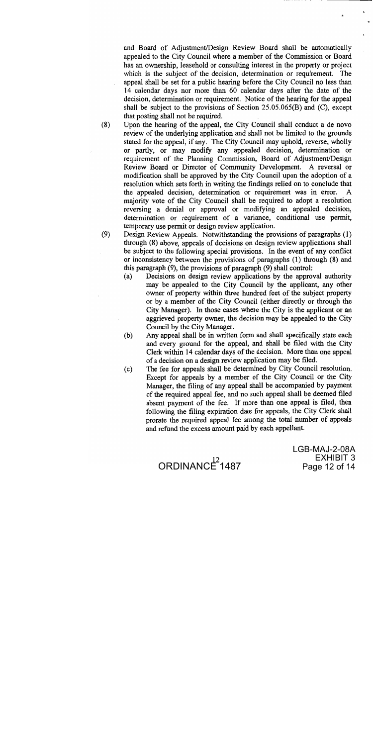and Board of Adjustment/Design Review Board shall be automatically appealed to the City Council where a member of the Commission or Board has an ownership, leasehold or consulting interest in the property or project which is the subject of the decision, determination or requirement. The appeal shall be set for a public hearing before the City Council no less than 14 calendar days nor more than 60 calendar days after the date of the decision, determination or requirement. Notice of the hearing for the appeal shall be subject to the provisions of Section  $25.05.065(B)$  and  $(C)$ , except that posting shall not be required.

 $(8)$ Upon the hearing of the appeal, the City Council shall conduct a de novo review of the underlying application and shall not be limited to the grounds stated for the appeal, if any. The City Council may uphold, reverse, wholly or partly, or may modify any appealed decision, determination or requirement of the Planning Commission, Board of Adjustment/Design Review Board or Director of Community Development. A reversal or modification shall be approved by the City Council upon the adoption of a resolution which sets forth in writing the findings relied on to conclude that the appealed decision, determination or requirement was in error. majority vote of the City Council shall be required to adopt a resolution reversing a denial or approval or modifying an appealed decision, determination or requirement of a variance, conditional use permit, temporary use permit or design review application.

Design Review Appeals. Notwithstanding the provisions of paragraphs (1)  $(9)$ through (8) above, appeals of decisions on design review applications shall be subject to the following special provisions. In the event of any conflict or inconsistency between the provisions of paragraphs (1) through (8) and this paragraph (9), the provisions of paragraph (9) shall control:

- Decisions on design review applications by the approval authority  $(a)$ may be appealed to the City Council by the applicant, any other owner of property within three hundred feet of the subject property or by a member of the City Council (either directly or through the City Manager). In those cases where the City is the applicant or an aggrieved property owner, the decision may be appealed to the City Council by the City Manager.
- Any appeal shall be in written form and shall specifically state each  $(b)$ and every ground for the appeal, and shall be filed with the City Clerk within 14 calendar days of the decision. More than one appeal of a decision on a design review application may be filed.
- The fee for appeals shall be determined by City Council resolution.  $(c)$ Except for appeals by a member of the City Council or the City Manager, the filing of any appeal shall be accompanied by payment of the required appeal fee, and no such appeal shall be deemed filed absent payment of the fee. If more than one appeal is filed, then following the filing expiration date for appeals, the City Clerk shall prorate the required appeal fee among the total number of appeals and refund the excess amount paid by each appellant.



LGB-MAJ-2-08A **EXHIBIT 3** Page 12 of 14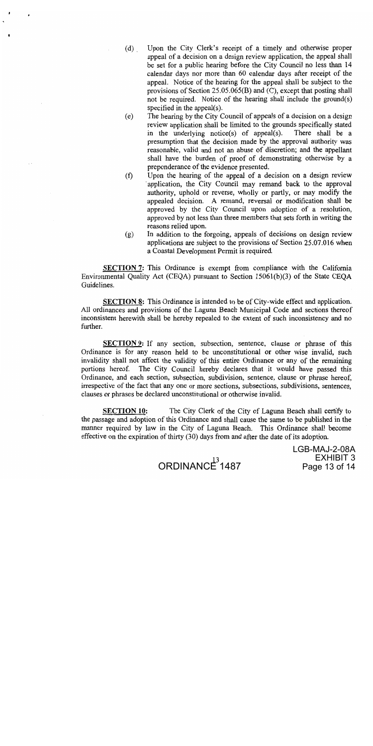- Upon the City Clerk's receipt of a timely and otherwise proper  $(d)$ appeal of a decision on a design review application, the appeal shall be set for a public hearing before the City Council no less than 14 calendar days nor more than 60 calendar days after receipt of the appeal. Notice of the hearing for the appeal shall be subject to the provisions of Section 25.05.065(B) and (C), except that posting shall not be required. Notice of the hearing shall include the ground(s) specified in the appeal $(s)$ .
- The hearing by the City Council of appeals of a decision on a design  $(e)$ review application shall be limited to the grounds specifically stated in the underlying notice(s) of appeal(s). There shall be a presumption that the decision made by the approval authority was reasonable, valid and not an abuse of discretion; and the appellant shall have the burden of proof of demonstrating otherwise by a preponderance of the evidence presented.
- Upon the hearing of the appeal of a decision on a design review  $(f)$ application, the City Council may remand back to the approval authority, uphold or reverse, wholly or partly, or may modify the appealed decision. A remand, reversal or modification shall be approved by the City Council upon adoption of a resolution, approved by not less than three members that sets forth in writing the reasons relied upon.
- In addition to the forgoing, appeals of decisions on design review  $(g)$ applications are subject to the provisions of Section 25.07.016 when a Coastal Development Permit is required.

**SECTION 7:** This Ordinance is exempt from compliance with the California Environmental Quality Act (CEQA) pursuant to Section 15061(b)(3) of the State CEQA Guidelines.

**SECTION 8:** This Ordinance is intended to be of City-wide effect and application. All ordinances and provisions of the Laguna Beach Municipal Code and sections thereof inconsistent herewith shall be hereby repealed to the extent of such inconsistency and no further.

**SECTION 9:** If any section, subsection, sentence, clause or phrase of this Ordinance is for any reason held to be unconstitutional or other wise invalid, such invalidity shall not affect the validity of this entire Ordinance or any of the remaining portions hereof. The City Council hereby declares that it would have passed this Ordinance, and each section, subsection, subdivision, sentence, clause or phrase hereof, irrespective of the fact that any one or more sections, subsections, subdivisions, sentences, clauses or phrases be declared unconstitutional or otherwise invalid.

**SECTION 10:** The City Clerk of the City of Laguna Beach shall certify to the passage and adoption of this Ordinance and shall cause the same to be published in the manner required by law in the City of Laguna Beach. This Ordinance shall become effective on the expiration of thirty (30) days from and after the date of its adoption.



LGB-MAJ-2-08A **EXHIBIT 3** Page 13 of 14